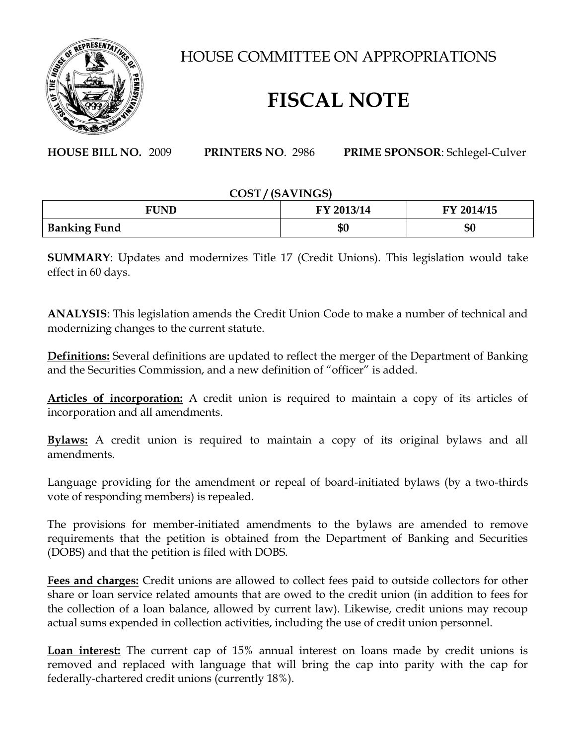

HOUSE COMMITTEE ON APPROPRIATIONS

## **FISCAL NOTE**

**HOUSE BILL NO.** 2009 **PRINTERS NO**. 2986 **PRIME SPONSOR**: Schlegel-Culver

## **COST / (SAVINGS)**

| FUND                | FY 2013/14 | FY 2014/15 |
|---------------------|------------|------------|
| <b>Banking Fund</b> | \$0        | \$0        |

**SUMMARY**: Updates and modernizes Title 17 (Credit Unions). This legislation would take effect in 60 days.

**ANALYSIS**: This legislation amends the Credit Union Code to make a number of technical and modernizing changes to the current statute.

**Definitions:** Several definitions are updated to reflect the merger of the Department of Banking and the Securities Commission, and a new definition of "officer" is added.

**Articles of incorporation:** A credit union is required to maintain a copy of its articles of incorporation and all amendments.

**Bylaws:** A credit union is required to maintain a copy of its original bylaws and all amendments.

Language providing for the amendment or repeal of board-initiated bylaws (by a two-thirds vote of responding members) is repealed.

The provisions for member-initiated amendments to the bylaws are amended to remove requirements that the petition is obtained from the Department of Banking and Securities (DOBS) and that the petition is filed with DOBS.

**Fees and charges:** Credit unions are allowed to collect fees paid to outside collectors for other share or loan service related amounts that are owed to the credit union (in addition to fees for the collection of a loan balance, allowed by current law). Likewise, credit unions may recoup actual sums expended in collection activities, including the use of credit union personnel.

**Loan interest:** The current cap of 15% annual interest on loans made by credit unions is removed and replaced with language that will bring the cap into parity with the cap for federally-chartered credit unions (currently 18%).